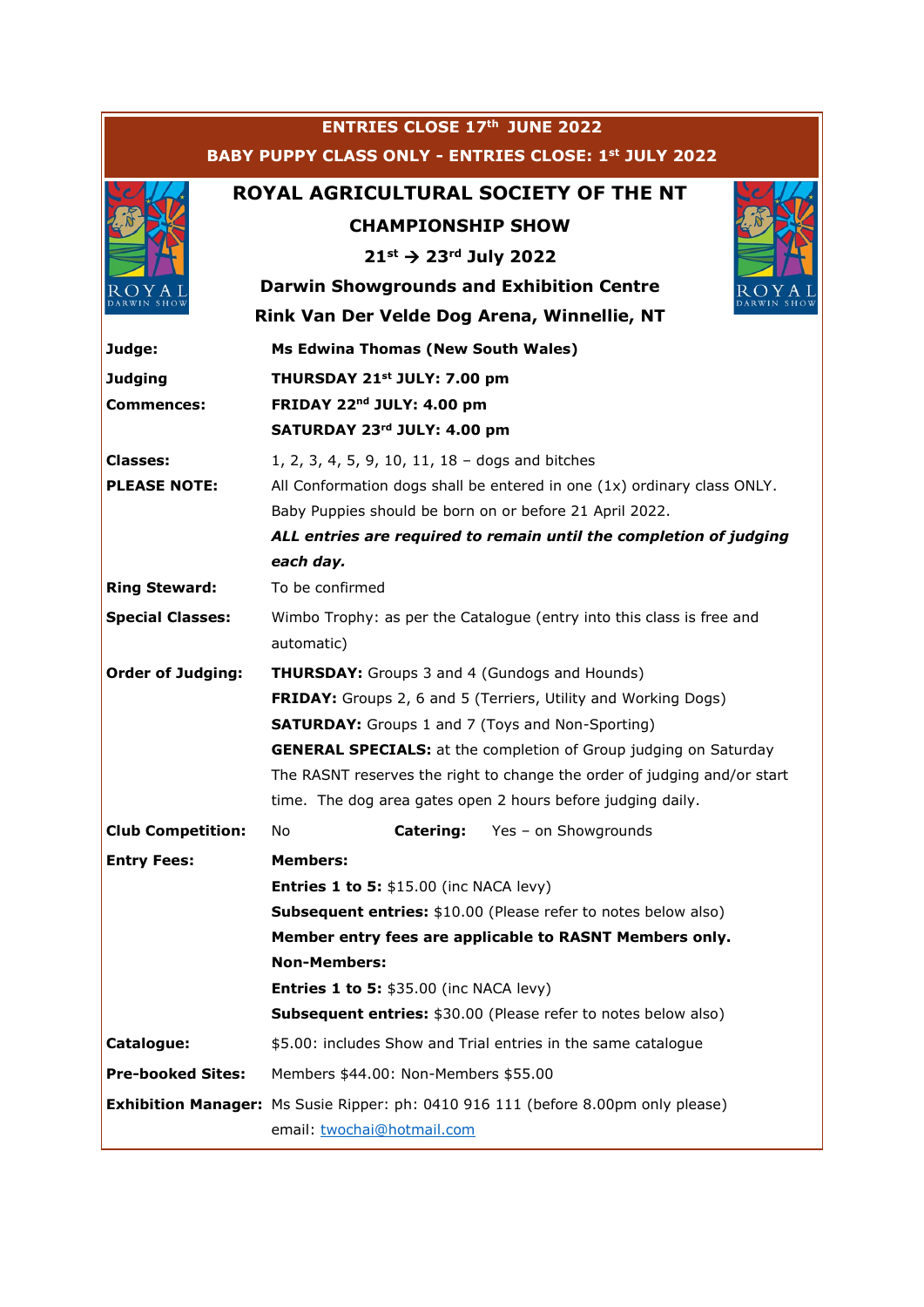| <b>ENTRIES CLOSE 17th JUNE 2022</b>                         |                                                                                          |  |  |
|-------------------------------------------------------------|------------------------------------------------------------------------------------------|--|--|
| <b>BABY PUPPY CLASS ONLY - ENTRIES CLOSE: 1st JULY 2022</b> |                                                                                          |  |  |
|                                                             | ROYAL AGRICULTURAL SOCIETY OF THE NT                                                     |  |  |
|                                                             | <b>CHAMPIONSHIP SHOW</b>                                                                 |  |  |
|                                                             | $21^{st}$ $\rightarrow$ 23 <sup>rd</sup> July 2022                                       |  |  |
| ΥA                                                          | <b>Darwin Showgrounds and Exhibition Centre</b>                                          |  |  |
| Rink Van Der Velde Dog Arena, Winnellie, NT                 |                                                                                          |  |  |
| Judge:                                                      | Ms Edwina Thomas (New South Wales)                                                       |  |  |
| <b>Judging</b>                                              | THURSDAY 21st JULY: 7.00 pm                                                              |  |  |
| Commences:                                                  | FRIDAY 22 <sup>nd</sup> JULY: 4.00 pm                                                    |  |  |
|                                                             | SATURDAY 23rd JULY: 4.00 pm                                                              |  |  |
| <b>Classes:</b>                                             | 1, 2, 3, 4, 5, 9, 10, 11, 18 - dogs and bitches                                          |  |  |
| <b>PLEASE NOTE:</b>                                         | All Conformation dogs shall be entered in one (1x) ordinary class ONLY.                  |  |  |
|                                                             | Baby Puppies should be born on or before 21 April 2022.                                  |  |  |
|                                                             | ALL entries are required to remain until the completion of judging                       |  |  |
|                                                             | each day.                                                                                |  |  |
| <b>Ring Steward:</b>                                        | To be confirmed                                                                          |  |  |
| <b>Special Classes:</b>                                     | Wimbo Trophy: as per the Catalogue (entry into this class is free and<br>automatic)      |  |  |
| <b>Order of Judging:</b>                                    | <b>THURSDAY:</b> Groups 3 and 4 (Gundogs and Hounds)                                     |  |  |
|                                                             | <b>FRIDAY:</b> Groups 2, 6 and 5 (Terriers, Utility and Working Dogs)                    |  |  |
|                                                             | <b>SATURDAY:</b> Groups 1 and 7 (Toys and Non-Sporting)                                  |  |  |
|                                                             | <b>GENERAL SPECIALS:</b> at the completion of Group judging on Saturday                  |  |  |
|                                                             | The RASNT reserves the right to change the order of judging and/or start                 |  |  |
|                                                             | time. The dog area gates open 2 hours before judging daily.                              |  |  |
| <b>Club Competition:</b>                                    | <b>Catering:</b><br>Yes - on Showgrounds<br>No                                           |  |  |
| <b>Entry Fees:</b>                                          | <b>Members:</b>                                                                          |  |  |
|                                                             | <b>Entries 1 to 5: <math>\$15.00</math> (inc NACA levy)</b>                              |  |  |
|                                                             | <b>Subsequent entries:</b> \$10.00 (Please refer to notes below also)                    |  |  |
|                                                             | Member entry fees are applicable to RASNT Members only.                                  |  |  |
|                                                             | <b>Non-Members:</b>                                                                      |  |  |
|                                                             | <b>Entries 1 to 5: \$35.00 (inc NACA levy)</b>                                           |  |  |
|                                                             | <b>Subsequent entries: \$30.00 (Please refer to notes below also)</b>                    |  |  |
| Catalogue:                                                  | \$5.00: includes Show and Trial entries in the same catalogue                            |  |  |
| <b>Pre-booked Sites:</b>                                    | Members \$44.00: Non-Members \$55.00                                                     |  |  |
|                                                             | <b>Exhibition Manager:</b> Ms Susie Ripper: ph: 0410 916 111 (before 8.00pm only please) |  |  |
|                                                             | email: twochai@hotmail.com                                                               |  |  |